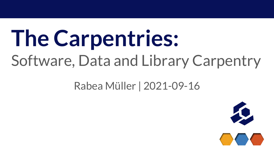# **The Carpentries:** Software, Data and Library Carpentry

#### Rabea Müller | 2021-09-16

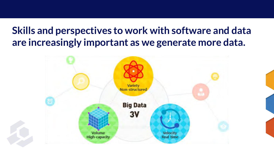#### **Skills and perspectives to work with software and data are increasingly important as we generate more data.**

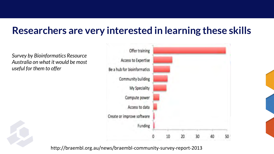#### **Researchers are very interested in learning these skills**

*Survey by Bioinformatics Resource Australia on what it would be most useful for them to offer*



http://braembl.org.au/news/braembl-community-survey-report-2013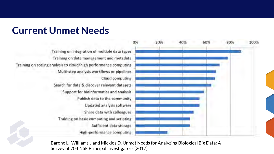#### **Current Unmet Needs**

Training on integration of multiple data types Training on data management and metadata Training on scaling analysis to cloud/high performance computing Multi-step analysis workflows or pipelines Cloud computing Search for data & discover relevant datasets Support for bioinformatics and analysis Publish data to the community Updated analysis software Share data with colleagues Training on basic computing and scripting Sufficient data storage High-performance computing



Barone L, Williams J and Micklos D. Unmet Needs for Analyzing Biological Big Data: A Survey of 704 NSF Principal Investigators (2017)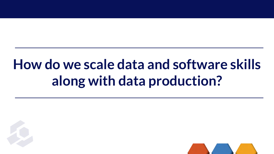## **How do we scale data and software skills along with data production?**



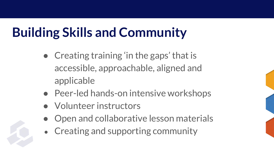### **Building Skills and Community**

- Creating training 'in the gaps' that is accessible, approachable, aligned and applicable
- Peer-led hands-on intensive workshops
- Volunteer instructors
- Open and collaborative lesson materials
- Creating and supporting community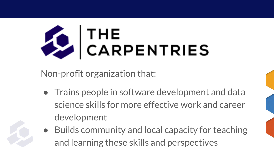

Non-profit organization that:

- Trains people in software development and data science skills for more effective work and career development
- Builds community and local capacity for teaching and learning these skills and perspectives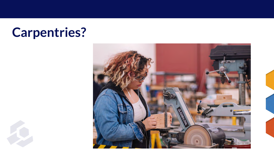### **Carpentries?**

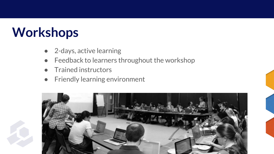#### **Workshops**

- 2-days, active learning
- Feedback to learners throughout the workshop
- Trained instructors
- Friendly learning environment

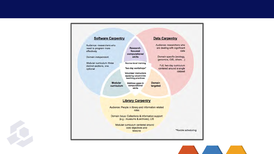

 $\mathcal{L}$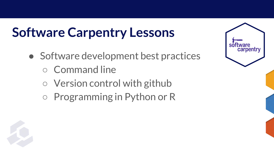#### **Software Carpentry Lessons**

- Software development best practices
	- Command line
	- Version control with github
	- Programming in Python or R

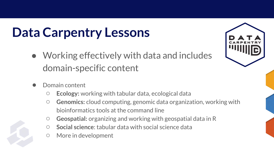### **Data Carpentry Lessons**

- Working effectively with data and includes domain-specific content
	- Domain content
		- **Ecology:** working with tabular data, ecological data
		- **Genomics:** cloud computing, genomic data organization, working with bioinformatics tools at the command line
		- **Geospatial:** organizing and working with geospatial data in R
		- **Social science**: tabular data with social science data
		- More in development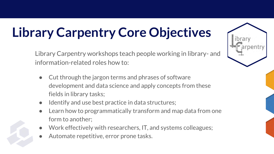### **Library Carpentry Core Objectives**

Library Carpentry workshops teach people working in library- and information-related roles how to:

- Cut through the jargon terms and phrases of software development and data science and apply concepts from these fields in library tasks;
- Identify and use best practice in data structures;
- Learn how to programmatically transform and map data from one form to another;
- Work effectively with researchers, IT, and systems colleagues;
- Automate repetitive, error prone tasks.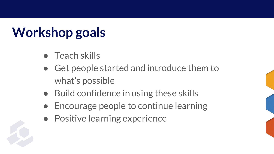### **Workshop goals**

- Teach skills
- Get people started and introduce them to what's possible
- Build confidence in using these skills
- Encourage people to continue learning
- Positive learning experience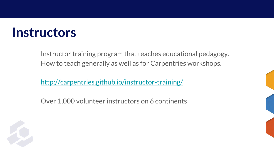#### **Instructors**

Instructor training program that teaches educational pedagogy. How to teach generally as well as for Carpentries workshops.

<http://carpentries.github.io/instructor-training/>

Over 1,000 volunteer instructors on 6 continents

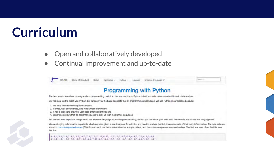#### **Curriculum**

- Open and collaboratively developed
- Continual improvement and up-to-date

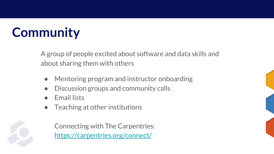### **Community**

A group of people excited about software and data skills and about sharing them with others

- Mentoring program and instructor onboarding
- Discussion groups and community calls
- **Email lists**
- Teaching at other institutions

Connecting with The Carpentries: <https://carpentries.org/connect/>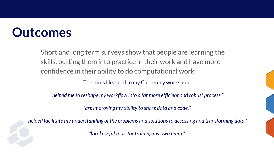#### **Outcomes**

Short and long term surveys show that people are learning the skills, putting them into practice in their work and have more confidence in their ability to do computational work.

The tools I learned in my Carpentry workshop:

*"helped me to reshape my workflow into a far more efficient and robust process."*

*"are improving my ability to share data and code."*

*"helped facilitate my understanding of the problems and solutions to accessing and transforming data."*

*"[are] useful tools for training my own team."*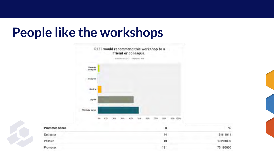#### **People like the workshops**

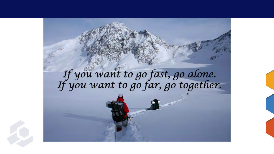